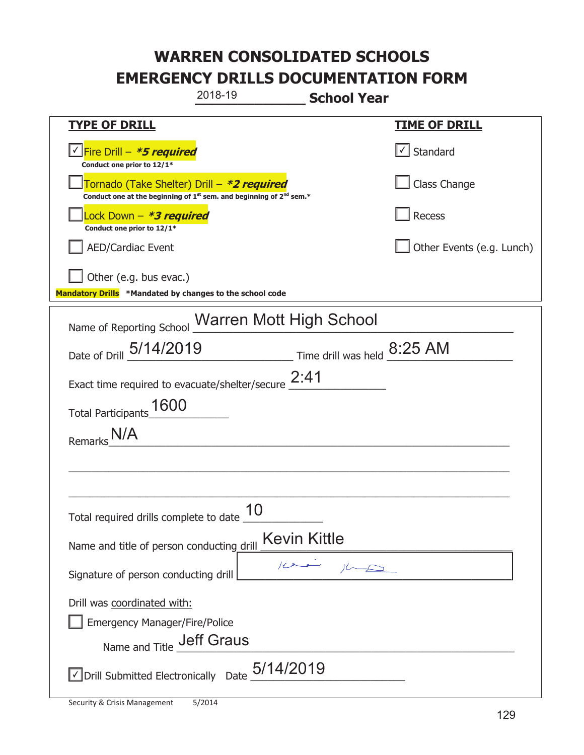|                                                                                    | 2018-19                                                                                     | <b>School Year</b>          |                           |
|------------------------------------------------------------------------------------|---------------------------------------------------------------------------------------------|-----------------------------|---------------------------|
| <b>TYPE OF DRILL</b>                                                               |                                                                                             |                             | <u>TIME OF DRILL</u>      |
| Fire Drill – <i>*<b>5 required</b></i><br>Conduct one prior to 12/1*               |                                                                                             |                             | Standard                  |
| Tornado (Take Shelter) Drill – *2 required                                         | Conduct one at the beginning of 1 <sup>st</sup> sem. and beginning of 2 <sup>nd</sup> sem.* |                             | Class Change              |
| Lock Down - *3 required<br>Conduct one prior to 12/1*                              |                                                                                             |                             | <b>Recess</b>             |
| <b>AED/Cardiac Event</b>                                                           |                                                                                             |                             | Other Events (e.g. Lunch) |
| Other (e.g. bus evac.)<br>Mandatory Drills *Mandated by changes to the school code |                                                                                             |                             |                           |
| Name of Reporting School Warren Mott High School                                   |                                                                                             |                             |                           |
| Date of Drill 5/14/2019                                                            |                                                                                             | Time drill was held 8:25 AM |                           |
| Exact time required to evacuate/shelter/secure $2:41$                              |                                                                                             |                             |                           |
| 1600<br><b>Total Participants</b>                                                  |                                                                                             |                             |                           |
| Remarks                                                                            |                                                                                             |                             |                           |
|                                                                                    |                                                                                             |                             |                           |
|                                                                                    |                                                                                             |                             |                           |
| Total required drills complete to date $\frac{10}{10}$                             |                                                                                             |                             |                           |
| Name and title of person conducting drill                                          |                                                                                             | <b>Kevin Kittle</b>         |                           |
| Signature of person conducting drill                                               |                                                                                             |                             |                           |
| Drill was coordinated with:                                                        |                                                                                             |                             |                           |
| <b>Emergency Manager/Fire/Police</b><br>Name and Title <b>Jeff Graus</b>           |                                                                                             |                             |                           |
|                                                                                    |                                                                                             |                             |                           |
| $\vee$ Drill Submitted Electronically Date $_+$ 5/14/2019                          |                                                                                             |                             |                           |

I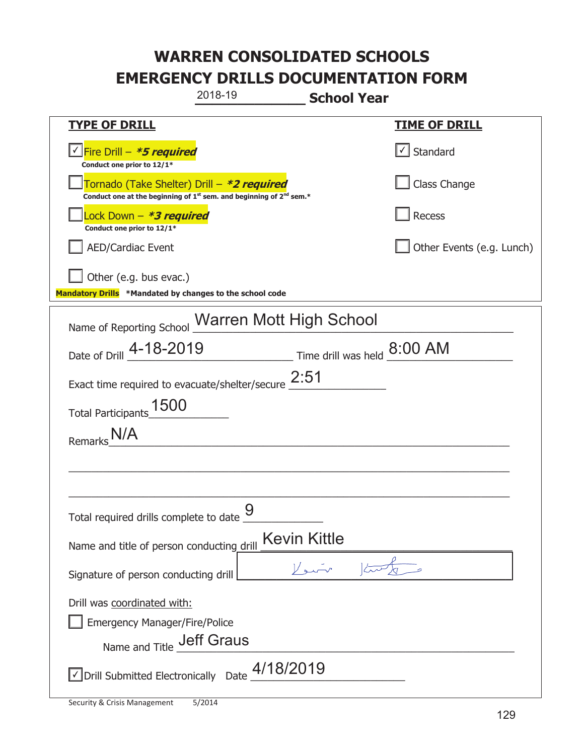|                                                                                                         | 2018-19                                                                                     | <b>School Year</b>          |                           |
|---------------------------------------------------------------------------------------------------------|---------------------------------------------------------------------------------------------|-----------------------------|---------------------------|
| <b>TYPE OF DRILL</b>                                                                                    |                                                                                             |                             | <u>TIME OF DRILL</u>      |
| Fire Drill - *5 required<br>Conduct one prior to 12/1*                                                  |                                                                                             |                             | Standard                  |
| Tornado (Take Shelter) Drill – *2 required                                                              | Conduct one at the beginning of 1 <sup>st</sup> sem. and beginning of 2 <sup>nd</sup> sem.* |                             | Class Change              |
| Lock Down - *3 required<br>Conduct one prior to 12/1*                                                   |                                                                                             |                             | <b>Recess</b>             |
| <b>AED/Cardiac Event</b>                                                                                |                                                                                             |                             | Other Events (e.g. Lunch) |
| Other (e.g. bus evac.)<br>Mandatory Drills *Mandated by changes to the school code                      |                                                                                             |                             |                           |
| Name of Reporting School Warren Mott High School                                                        |                                                                                             |                             |                           |
| Date of Drill 4-18-2019                                                                                 |                                                                                             | Time drill was held 8:00 AM |                           |
| Exact time required to evacuate/shelter/secure $2:51$                                                   |                                                                                             |                             |                           |
| 1500<br><b>Total Participants</b>                                                                       |                                                                                             |                             |                           |
| Remarks                                                                                                 |                                                                                             |                             |                           |
|                                                                                                         |                                                                                             |                             |                           |
|                                                                                                         |                                                                                             |                             |                           |
| Total required drills complete to date _                                                                | Q                                                                                           |                             |                           |
| Name and title of person conducting drill                                                               |                                                                                             | <b>Kevin Kittle</b>         |                           |
| Signature of person conducting drill                                                                    |                                                                                             |                             |                           |
| Drill was coordinated with:<br><b>Emergency Manager/Fire/Police</b><br>Name and Title <b>Jeff Graus</b> |                                                                                             |                             |                           |
| $\vee$ Drill Submitted Electronically Date $\_^{4/18/2019}$                                             |                                                                                             |                             |                           |

T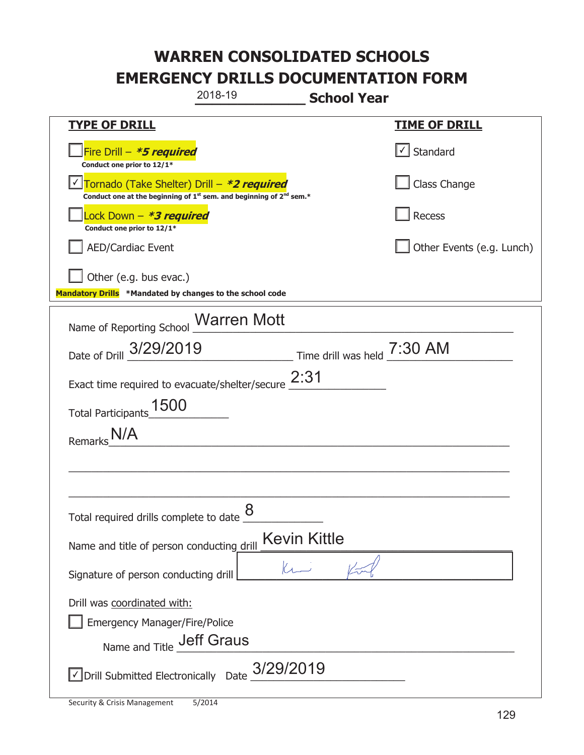|                                                                                                  | 2018-19                                                                                     | <b>School Year</b>          |                           |
|--------------------------------------------------------------------------------------------------|---------------------------------------------------------------------------------------------|-----------------------------|---------------------------|
| <b>TYPE OF DRILL</b>                                                                             |                                                                                             |                             | <b>TIME OF DRILL</b>      |
| Fire Drill - *5 required<br>Conduct one prior to 12/1*                                           |                                                                                             |                             | √ Standard                |
| Tornado (Take Shelter) Drill – *2 required                                                       | Conduct one at the beginning of 1 <sup>st</sup> sem. and beginning of 2 <sup>nd</sup> sem.* |                             | Class Change              |
| Lock Down – <i>*<b>3 required</b></i><br>Conduct one prior to 12/1*                              |                                                                                             |                             | Recess                    |
| <b>AED/Cardiac Event</b>                                                                         |                                                                                             |                             | Other Events (e.g. Lunch) |
| Other (e.g. bus evac.)<br>Mandatory Drills *Mandated by changes to the school code               |                                                                                             |                             |                           |
| Name of Reporting School Marren Mott                                                             |                                                                                             |                             |                           |
| Date of Drill 3/29/2019                                                                          |                                                                                             | Time drill was held 7:30 AM |                           |
| Exact time required to evacuate/shelter/secure $2:31$                                            |                                                                                             |                             |                           |
| Total Participants_1500                                                                          |                                                                                             |                             |                           |
| Remarks                                                                                          |                                                                                             |                             |                           |
|                                                                                                  |                                                                                             |                             |                           |
|                                                                                                  |                                                                                             |                             |                           |
| Total required drills complete to date $\underline{\mathcal{8}}$                                 |                                                                                             |                             |                           |
| Name and title of person conducting drill                                                        |                                                                                             | <b>Kevin Kittle</b>         |                           |
| Signature of person conducting drill                                                             |                                                                                             |                             |                           |
| Drill was coordinated with:<br><b>Emergency Manager/Fire/Police</b><br>Name and Title Jeff Graus |                                                                                             |                             |                           |
| $\vee$ Drill Submitted Electronically Date $3/29/2019$                                           |                                                                                             |                             |                           |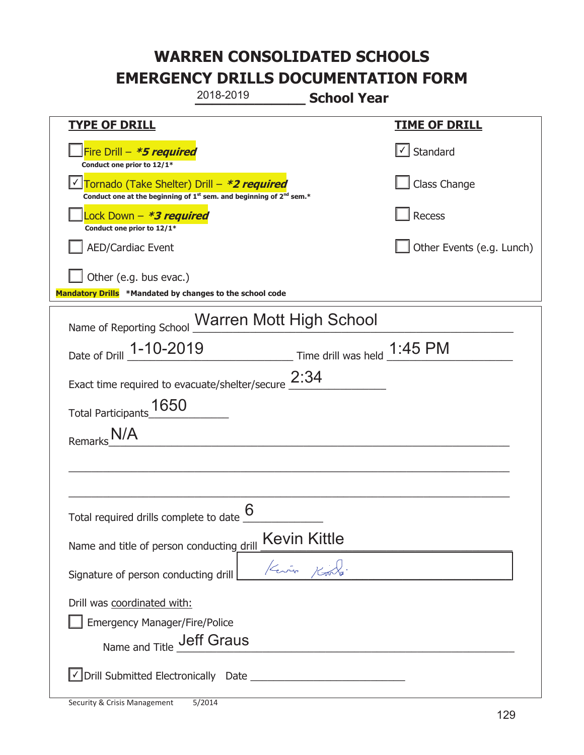|                                                                                                                       | 2018-2019 | <b>School Year</b> |                           |
|-----------------------------------------------------------------------------------------------------------------------|-----------|--------------------|---------------------------|
| <b>TYPE OF DRILL</b>                                                                                                  |           |                    | <u>TIME OF DRILL</u>      |
| Fire Drill - *5 required<br>Conduct one prior to 12/1*                                                                |           |                    | $\lfloor$ Standard        |
| Tornado (Take Shelter) Drill – *2 required<br>Conduct one at the beginning of $1st$ sem. and beginning of $2nd$ sem.* |           |                    | Class Change              |
| ock Down – <b>*3 required</b><br>Conduct one prior to 12/1*                                                           |           |                    | Recess                    |
| <b>AED/Cardiac Event</b>                                                                                              |           |                    | Other Events (e.g. Lunch) |
| Other (e.g. bus evac.)<br>Mandatory Drills *Mandated by changes to the school code                                    |           |                    |                           |
| Name of Reporting School Warren Mott High School                                                                      |           |                    |                           |
| Date of Drill 1-10-2019 Time drill was held 1:45 PM                                                                   |           |                    |                           |
| Exact time required to evacuate/shelter/secure $2:34$                                                                 |           |                    |                           |
| Total Participants_1650                                                                                               |           |                    |                           |
| <b>Remark</b>                                                                                                         |           |                    |                           |
|                                                                                                                       |           |                    |                           |
|                                                                                                                       |           |                    |                           |
| Total required drills complete to date $\frac{6}{6}$                                                                  |           |                    |                           |
| Name and title of person conducting drill                                                                             |           | Kevin Kittle       |                           |
| Signature of person conducting drill                                                                                  |           | Kerry Kin          |                           |
| Drill was coordinated with:                                                                                           |           |                    |                           |
| <b>Emergency Manager/Fire/Police</b><br>Name and Title <b>Jeff Graus</b>                                              |           |                    |                           |
|                                                                                                                       |           |                    |                           |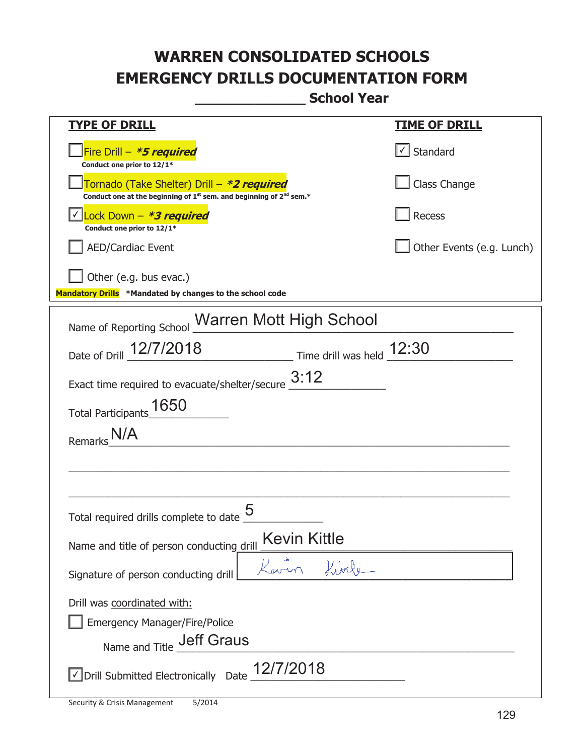**\_\_\_\_\_\_\_\_\_\_\_\_\_ School Year** 

| <u>TYPE OF DRILL</u>                                                                                                                      | <b>TIME OF DRILL</b>              |  |  |  |
|-------------------------------------------------------------------------------------------------------------------------------------------|-----------------------------------|--|--|--|
| Fire Drill - *5 required<br>Conduct one prior to 12/1*                                                                                    | $\lfloor \angle \rfloor$ Standard |  |  |  |
| Tornado (Take Shelter) Drill – *2 required<br>Conduct one at the beginning of 1 <sup>st</sup> sem. and beginning of 2 <sup>nd</sup> sem.* | Class Change                      |  |  |  |
| $ $ Lock Down - <b>*3 required</b><br>Conduct one prior to 12/1*                                                                          | Recess                            |  |  |  |
| <b>AED/Cardiac Event</b>                                                                                                                  | Other Events (e.g. Lunch)         |  |  |  |
| Other (e.g. bus evac.)<br>Mandatory Drills *Mandated by changes to the school code                                                        |                                   |  |  |  |
| Name of Reporting School Warren Mott High School                                                                                          |                                   |  |  |  |
| Date of Drill 12/7/2018 Time drill was held 12:30                                                                                         |                                   |  |  |  |
| Exact time required to evacuate/shelter/secure $3:12$                                                                                     |                                   |  |  |  |
| Total Participants 1650                                                                                                                   |                                   |  |  |  |
| Remarks N/A                                                                                                                               |                                   |  |  |  |
|                                                                                                                                           |                                   |  |  |  |
|                                                                                                                                           |                                   |  |  |  |
| Total required drills complete to date                                                                                                    |                                   |  |  |  |
| <b>Kevin Kittle</b><br>Name and title of person conducting drill                                                                          |                                   |  |  |  |
| Signature of person conducting drill                                                                                                      |                                   |  |  |  |
| Drill was coordinated with:                                                                                                               |                                   |  |  |  |
| <b>Emergency Manager/Fire/Police</b>                                                                                                      |                                   |  |  |  |
| Name and Title <b>Jeff Graus</b>                                                                                                          |                                   |  |  |  |
| $\triangledown$ Drill Submitted Electronically Date $\_12/7/2018$                                                                         |                                   |  |  |  |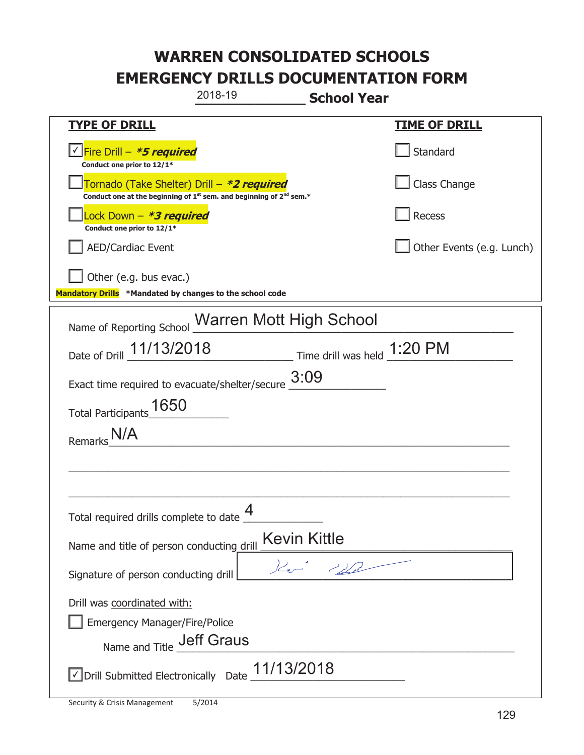|                                                                                                         | 2018-19                                                                                     | <b>School Year</b>           |                           |
|---------------------------------------------------------------------------------------------------------|---------------------------------------------------------------------------------------------|------------------------------|---------------------------|
| <b>TYPE OF DRILL</b>                                                                                    |                                                                                             |                              | <b>TIME OF DRILL</b>      |
| Fire Drill - <b>*5 required</b><br>Conduct one prior to 12/1*                                           |                                                                                             |                              | Standard                  |
| Tornado (Take Shelter) Drill – *2 required                                                              | Conduct one at the beginning of 1 <sup>st</sup> sem. and beginning of 2 <sup>nd</sup> sem.* |                              | Class Change              |
| Lock Down – <i>*<b>3 required</b></i><br>Conduct one prior to 12/1*                                     |                                                                                             |                              | <b>Recess</b>             |
| <b>AED/Cardiac Event</b>                                                                                |                                                                                             |                              | Other Events (e.g. Lunch) |
| Other (e.g. bus evac.)<br>Mandatory Drills *Mandated by changes to the school code                      |                                                                                             |                              |                           |
| Name of Reporting School Warren Mott High School                                                        |                                                                                             |                              |                           |
| Date of Drill 11/13/2018                                                                                |                                                                                             | Time drill was held _1:20 PM |                           |
| Exact time required to evacuate/shelter/secure                                                          |                                                                                             | 3:09                         |                           |
| 1650<br><b>Total Participants</b>                                                                       |                                                                                             |                              |                           |
| Remarks                                                                                                 |                                                                                             |                              |                           |
|                                                                                                         |                                                                                             |                              |                           |
|                                                                                                         |                                                                                             |                              |                           |
| Total required drills complete to date $\Box$                                                           | 4                                                                                           |                              |                           |
| Name and title of person conducting drill                                                               | <b>Kevin Kittle</b>                                                                         |                              |                           |
| Signature of person conducting drill                                                                    |                                                                                             |                              |                           |
| Drill was coordinated with:<br><b>Emergency Manager/Fire/Police</b><br>Name and Title <b>Jeff Graus</b> |                                                                                             |                              |                           |
| √ Drill Submitted Electronically Date                                                                   | 11/13/2018                                                                                  |                              |                           |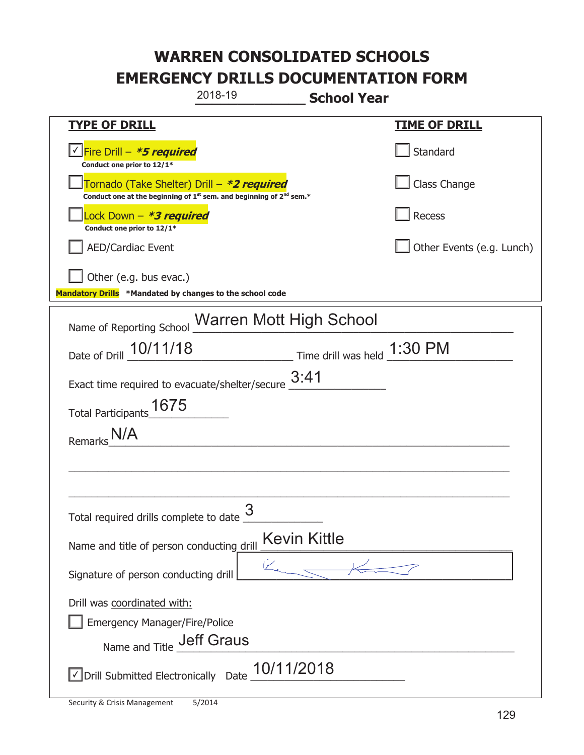|                                                                                                         | 2018-19                                                                                     | <b>School Year</b>          |                           |
|---------------------------------------------------------------------------------------------------------|---------------------------------------------------------------------------------------------|-----------------------------|---------------------------|
| <u>TYPE OF DRILL</u>                                                                                    |                                                                                             |                             | <u>TIME OF DRILL</u>      |
| Fire Drill - *5 required<br>Conduct one prior to 12/1*                                                  |                                                                                             |                             | Standard                  |
| Tornado (Take Shelter) Drill – *2 required                                                              | Conduct one at the beginning of 1 <sup>st</sup> sem. and beginning of 2 <sup>nd</sup> sem.* |                             | Class Change              |
| Lock Down - <b>*3 required</b><br>Conduct one prior to 12/1*                                            |                                                                                             |                             | Recess                    |
| <b>AED/Cardiac Event</b>                                                                                |                                                                                             |                             | Other Events (e.g. Lunch) |
| Other (e.g. bus evac.)<br>Mandatory Drills *Mandated by changes to the school code                      |                                                                                             |                             |                           |
| Name of Reporting School Warren Mott High School                                                        |                                                                                             |                             |                           |
| Date of Drill 10/11/18                                                                                  |                                                                                             | $\frac{1.30 \text{ PM}}{2}$ |                           |
| Exact time required to evacuate/shelter/secure                                                          |                                                                                             | 3:41                        |                           |
| 1675<br><b>Total Participants</b>                                                                       |                                                                                             |                             |                           |
| Remarks                                                                                                 |                                                                                             |                             |                           |
|                                                                                                         |                                                                                             |                             |                           |
|                                                                                                         |                                                                                             |                             |                           |
| Total required drills complete to date $\frac{6}{5}$                                                    | 3                                                                                           |                             |                           |
| Name and title of person conducting drill                                                               |                                                                                             | <b>Kevin Kittle</b>         |                           |
| Signature of person conducting drill                                                                    | ビ                                                                                           |                             |                           |
| Drill was coordinated with:<br><b>Emergency Manager/Fire/Police</b><br>Name and Title <b>Jeff Graus</b> |                                                                                             |                             |                           |
| √ Drill Submitted Electronically Date                                                                   | 10/11/2018                                                                                  |                             |                           |

t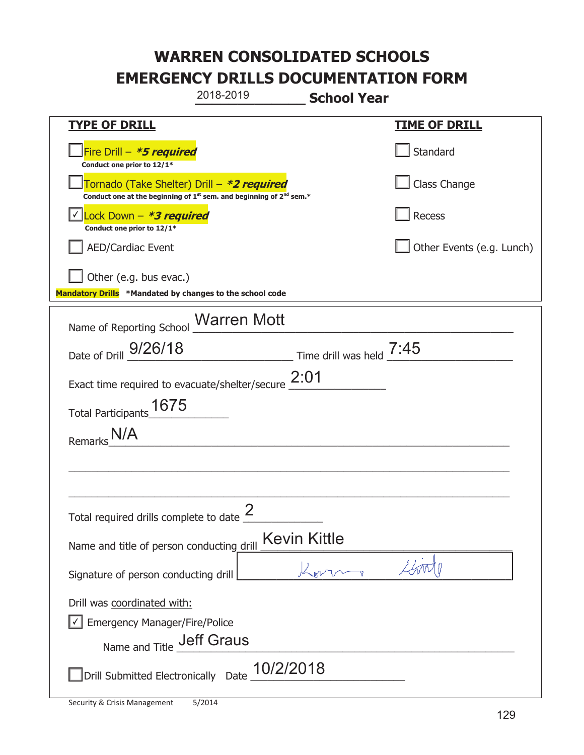|                                                                                                   | 2018-2019                                                                                   | <b>School Year</b>                       |                           |
|---------------------------------------------------------------------------------------------------|---------------------------------------------------------------------------------------------|------------------------------------------|---------------------------|
| <b>TYPE OF DRILL</b>                                                                              |                                                                                             |                                          | <u>TIME OF DRILL</u>      |
| Fire Drill - *5 required<br>Conduct one prior to 12/1*                                            |                                                                                             |                                          | Standard                  |
| Tornado (Take Shelter) Drill – *2 required                                                        | Conduct one at the beginning of 1 <sup>st</sup> sem. and beginning of 2 <sup>nd</sup> sem.* |                                          | Class Change              |
| Lock Down - *3 required<br>Conduct one prior to 12/1*                                             |                                                                                             |                                          | <b>Recess</b>             |
| <b>AED/Cardiac Event</b>                                                                          |                                                                                             |                                          | Other Events (e.g. Lunch) |
| Other (e.g. bus evac.)<br>Mandatory Drills *Mandated by changes to the school code                |                                                                                             |                                          |                           |
| Name of Reporting School Marren Mott                                                              |                                                                                             |                                          |                           |
| Date of Drill 9/26/18                                                                             |                                                                                             | $\frac{1}{2}$ Time drill was held $7:45$ |                           |
| Exact time required to evacuate/shelter/secure $2:01$                                             |                                                                                             |                                          |                           |
| 1675<br><b>Total Participants</b>                                                                 |                                                                                             |                                          |                           |
| Remarks                                                                                           |                                                                                             |                                          |                           |
|                                                                                                   |                                                                                             |                                          |                           |
|                                                                                                   |                                                                                             |                                          |                           |
| Total required drills complete to date $\frac{2}{3}$                                              |                                                                                             |                                          |                           |
| Name and title of person conducting drill                                                         |                                                                                             | <b>Kevin Kittle</b>                      |                           |
| Signature of person conducting drill                                                              |                                                                                             |                                          |                           |
| Drill was coordinated with:<br><b>Emergency Manager/Fire/Police</b><br>Name and Title _Jeff Graus |                                                                                             |                                          |                           |
| Drill Submitted Electronically Date                                                               | 10/2/2018                                                                                   |                                          |                           |

T